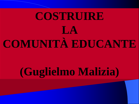## **COSTRUIRE LA COMUNITÀ EDUCANTE**

### **(Guglielmo Malizia)**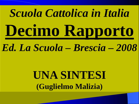# *Scuola Cattolica in Italia*  **Decimo Rapporto**

### *Ed. La Scuola – Brescia – 2008*

### **UNA SINTESI (Guglielmo Malizia)**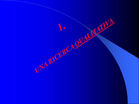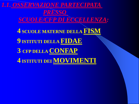*1.1. OSSERVAZIONE PARTECIPATA PRESSO SCUOLE/CFP DI ECCELLENZA:* **4 SCUOLE MATERNE DELLA FISM 9 ISTITUTI DELLA FIDAE 3 CFP DELLA CONFAP 4 ISTITUTI DEI MOVIMENTI**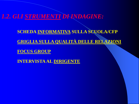*1.2. GLI STRUMENTI DI INDAGINE:*

**SCHEDA INFORMATIVA SULLA SCUOLA/CFP**

**GRIGLIA SULLA QUALITÀ DELLE RELAZIONI**

**FOCUS GROUP**

**INTERVISTA AL DIRIGENTE**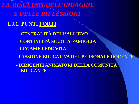*1.3. RISULTATI DELL'INDAGINE E DELLE RIFLESSIONI*

#### **1.3.1. PUNTI FORTI**

- **- CENTRALITÀ DELL'ALLIEVO**
- **- CONTINUITÀ SCUOLA-FAMIGLIA**
- **- LEGAME FEDE VITA**
- **- PASSIONE EDUCATIVA DEL PERSONALE DOCENTE**
- **- DIRIGENTI ANIMATORI DELLA COMUNITÀ EDUCANTE**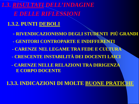1.3. RISULTATI DELL'INDAGINE **E DELLE RIFLESSIONI** 

#### 1.3.2. PUNTI DEBOLI

- RIVENDICAZIONISMO DEGLI STUDENTI PIÙ GRANDI
- GENITORI CONTROPARTE E INDIFFERENTI
- CARENZE NEL LEGAME TRA FEDE E CULTURA
- CRESCENTE INSTABILITÀ DEI DOCENTI LAICI
- CARENZE NELLE RELAZIONI TRA DIRIGENZA **E CORPO DOCENTE**

**1.3.3. INDICAZIONI DI MOLTE BUONE PRATICHE**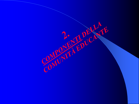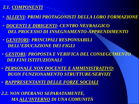#### *2.1. COMPONENTI*

- *- ALLIEVI: PRIMI PROTAGONISTI DELLA LORO FORMAZIONE*
- *- DOCENTI E DIRIGENTI: CENTRO NEVRALGICO DEL PROCESSO DI INSEGNAMENTO-APPRENDIMENTO*
- *- GENITORI: PRINCIPALI RESPONSABILI DELL'EDUCAZIONE DEI FIGLI*
- *- GESTORI: PROPOSTA E VERIFICA DEL CONSEGUIMENTO DEI FINI ISTITUZIONALI*
- *- PERSONALE NON DOCENTE E AMMINISTRATIVO: BUON FUNZIONAMENTO STRUTTURE/SERVIZI*
- *- RAPPRESENTANTI DELLE FORZE SOCIALI*
- *2.2. NON OPERANO SEPARATAMENTE, MA ALL'INTERNO DI UNA COMUNITÀ*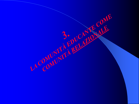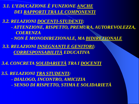*3.1. L'EDUCAZIONE È FUNZIONE ANCHE DEI RAPPORTI TRA LE COMPONENTI*

*3.2. RELAZIONI DOCENTI-STUDENTI:*

 *- ATTENZIONE, RISPETTO, PREMURA, AUTOREVOLEZZA, COERENZA*

 *- NON È MONODIREZIONALE, MA BIDIREZIONALE*

*3.3. RELAZIONI INSEGNANTI E GENITORI: CORRESPONSABILITÀ EDUCATIVA*

*3.4. CONCRETA SOLIDARIETÀ TRA I DOCENTI*

*3.5. RELAZIONI TRA STUDENTI:*

 *- DIALOGO, INCONTRO, AMICIZIA*

 *- SENSO DI RISPETTO, STIMA E SOLIDARIETÀ*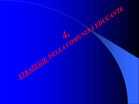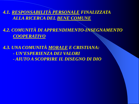*4.1. RESPONSABILITÀ PERSONALE FINALIZZATA ALLA RICERCA DEL BENE COMUNE*

*4.2. COMUNITÀ DI APPRENDIMENTO-INSEGNAMENTO COOPERATIVO*

*4.3. UNA COMUNITÀ MORALE E CRISTIANA: - UN'ESPERIENZA DEI VALORI* 

 *- AIUTO A SCOPRIRE IL DISEGNO DI DIO*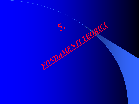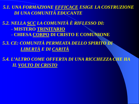5.1. UNA FORMAZIONE EFFICACE ESIGE LA COSTRUZIONE **DI UNA COMUNITÀ EDUCANTE** 

5.2. NELLA SCC LA COMUNITÀ È RIFLESSO DI: - MISTERO TRINITARIO - CHIESA CORPO DI CRISTO E COMUNIONE

5.3. CE: COMUNITÀ PERMEATA DELLO SPIRITO DI LIBERTÀ E DI CARITÀ

5.4. L'ALTRO COME OFFERTA DI UNA RICCHEZZA CHE HA **IL VOLTO DI CRISTO**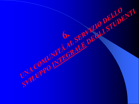